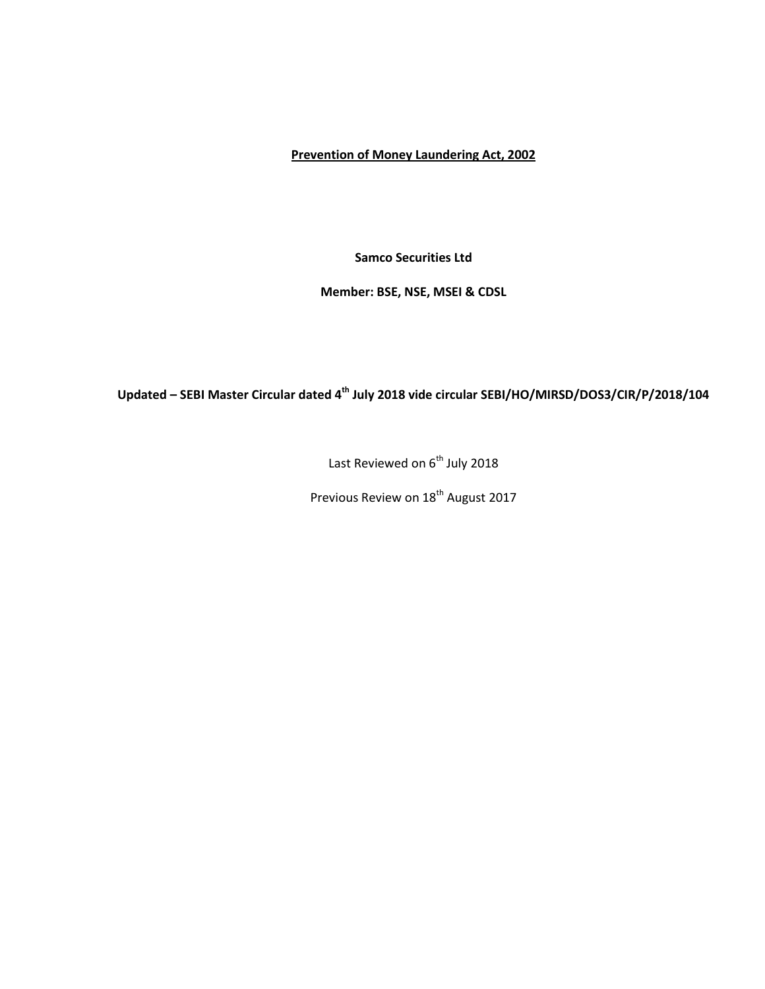# **Prevention of Money Laundering Act, 2002**

**Samco Securities Ltd**

**Member: BSE, NSE, MSEI & CDSL**

# **Updated – SEBI Master Circular dated 4 th July 2018 vide circular SEBI/HO/MIRSD/DOS3/CIR/P/2018/104**

Last Reviewed on  $6^{th}$  July 2018

Previous Review on 18<sup>th</sup> August 2017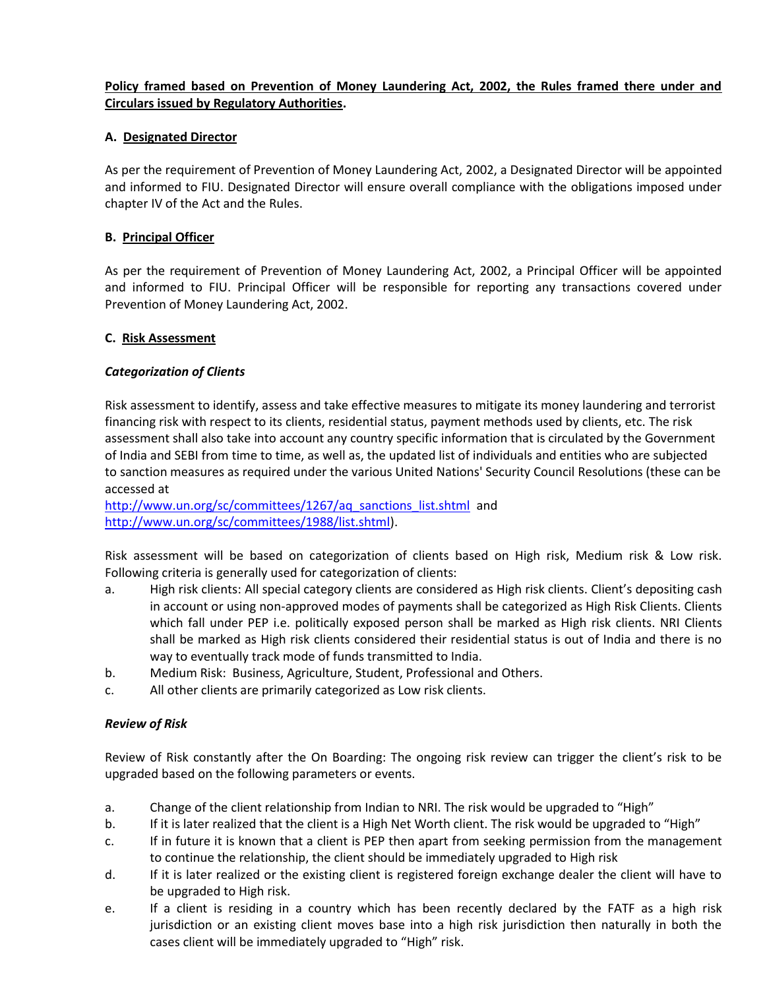# **Policy framed based on Prevention of Money Laundering Act, 2002, the Rules framed there under and Circulars issued by Regulatory Authorities.**

# **A. Designated Director**

As per the requirement of Prevention of Money Laundering Act, 2002, a Designated Director will be appointed and informed to FIU. Designated Director will ensure overall compliance with the obligations imposed under chapter IV of the Act and the Rules.

### **B. Principal Officer**

As per the requirement of Prevention of Money Laundering Act, 2002, a Principal Officer will be appointed and informed to FIU. Principal Officer will be responsible for reporting any transactions covered under Prevention of Money Laundering Act, 2002.

#### **C. Risk Assessment**

#### *Categorization of Clients*

Risk assessment to identify, assess and take effective measures to mitigate its money laundering and terrorist financing risk with respect to its clients, residential status, payment methods used by clients, etc. The risk assessment shall also take into account any country specific information that is circulated by the Government of India and SEBI from time to time, as well as, the updated list of individuals and entities who are subjected to sanction measures as required under the various United Nations' Security Council Resolutions (these can be accessed at

[http://www.un.org/sc/committees/1267/aq\\_sanctions\\_list.shtml](http://www.un.org/sc/committees/1267/aq_sanctions_list.shtml) and [http://www.un.org/sc/committees/1988/list.shtml\)](http://www.un.org/sc/committees/1988/list.shtml).

Risk assessment will be based on categorization of clients based on High risk, Medium risk & Low risk. Following criteria is generally used for categorization of clients:

- a. High risk clients: All special category clients are considered as High risk clients. Client's depositing cash in account or using non-approved modes of payments shall be categorized as High Risk Clients. Clients which fall under PEP i.e. politically exposed person shall be marked as High risk clients. NRI Clients shall be marked as High risk clients considered their residential status is out of India and there is no way to eventually track mode of funds transmitted to India.
- b. Medium Risk: Business, Agriculture, Student, Professional and Others.
- c. All other clients are primarily categorized as Low risk clients.

#### *Review of Risk*

Review of Risk constantly after the On Boarding: The ongoing risk review can trigger the client's risk to be upgraded based on the following parameters or events.

- a. Change of the client relationship from Indian to NRI. The risk would be upgraded to "High"
- b. If it is later realized that the client is a High Net Worth client. The risk would be upgraded to "High"
- c. If in future it is known that a client is PEP then apart from seeking permission from the management to continue the relationship, the client should be immediately upgraded to High risk
- d. If it is later realized or the existing client is registered foreign exchange dealer the client will have to be upgraded to High risk.
- e. If a client is residing in a country which has been recently declared by the FATF as a high risk jurisdiction or an existing client moves base into a high risk jurisdiction then naturally in both the cases client will be immediately upgraded to "High" risk.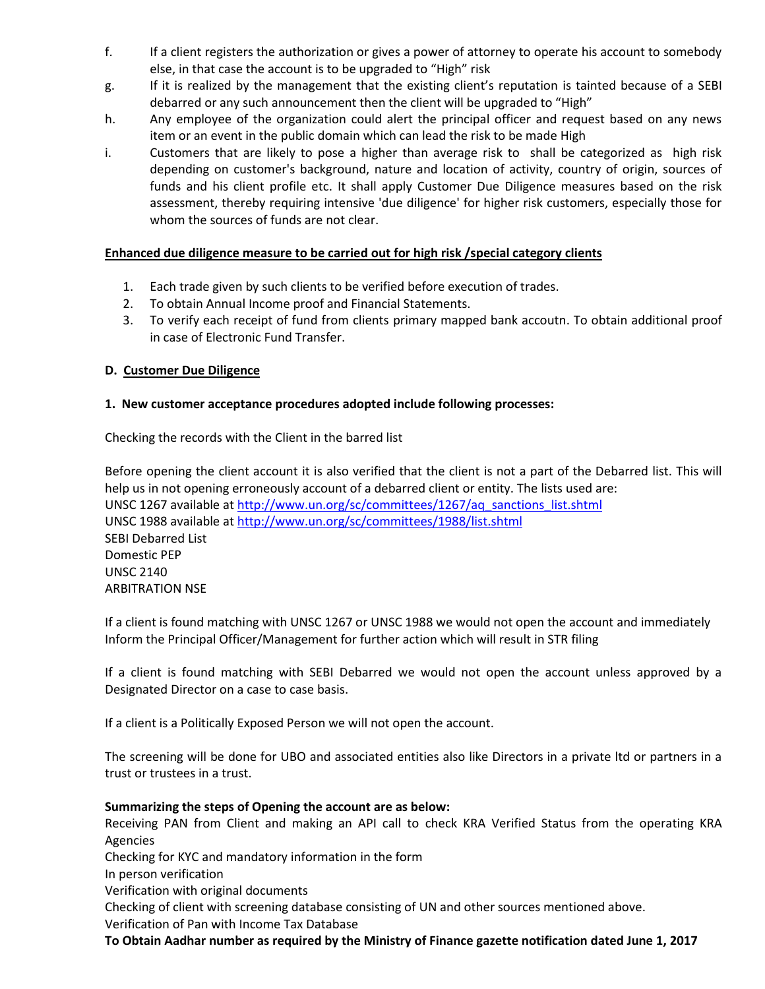- f. If a client registers the authorization or gives a power of attorney to operate his account to somebody else, in that case the account is to be upgraded to "High" risk
- g. If it is realized by the management that the existing client's reputation is tainted because of a SEBI debarred or any such announcement then the client will be upgraded to "High"
- h. Any employee of the organization could alert the principal officer and request based on any news item or an event in the public domain which can lead the risk to be made High
- i. Customers that are likely to pose a higher than average risk to shall be categorized as high risk depending on customer's background, nature and location of activity, country of origin, sources of funds and his client profile etc. It shall apply Customer Due Diligence measures based on the risk assessment, thereby requiring intensive 'due diligence' for higher risk customers, especially those for whom the sources of funds are not clear.

# **Enhanced due diligence measure to be carried out for high risk /special category clients**

- 1. Each trade given by such clients to be verified before execution of trades.
- 2. To obtain Annual Income proof and Financial Statements.
- 3. To verify each receipt of fund from clients primary mapped bank accoutn. To obtain additional proof in case of Electronic Fund Transfer.

# **D. Customer Due Diligence**

# **1. New customer acceptance procedures adopted include following processes:**

Checking the records with the Client in the barred list

Before opening the client account it is also verified that the client is not a part of the Debarred list. This will help us in not opening erroneously account of a debarred client or entity. The lists used are: UNSC 1267 available at [http://www.un.org/sc/committees/1267/aq\\_sanctions\\_list.shtml](http://www.un.org/sc/committees/1267/aq_sanctions_list.shtml) UNSC 1988 available at<http://www.un.org/sc/committees/1988/list.shtml> SEBI Debarred List Domestic PEP UNSC 2140 ARBITRATION NSE

If a client is found matching with UNSC 1267 or UNSC 1988 we would not open the account and immediately Inform the Principal Officer/Management for further action which will result in STR filing

If a client is found matching with SEBI Debarred we would not open the account unless approved by a Designated Director on a case to case basis.

If a client is a Politically Exposed Person we will not open the account.

The screening will be done for UBO and associated entities also like Directors in a private ltd or partners in a trust or trustees in a trust.

#### **Summarizing the steps of Opening the account are as below:**

Receiving PAN from Client and making an API call to check KRA Verified Status from the operating KRA Agencies

Checking for KYC and mandatory information in the form

In person verification

Verification with original documents

Checking of client with screening database consisting of UN and other sources mentioned above.

Verification of Pan with Income Tax Database

**To Obtain Aadhar number as required by the Ministry of Finance gazette notification dated June 1, 2017**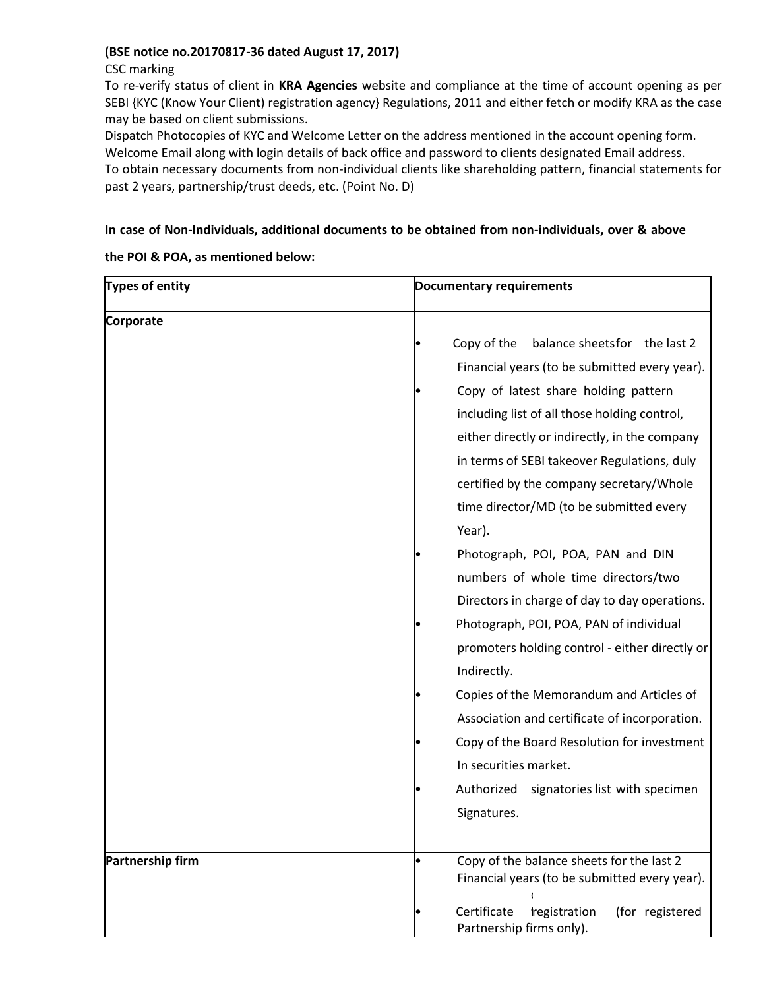# **(BSE notice no.20170817-36 dated August 17, 2017)**

# CSC marking

To re-verify status of client in **KRA Agencies** website and compliance at the time of account opening as per SEBI {KYC (Know Your Client) registration agency} Regulations, 2011 and either fetch or modify KRA as the case may be based on client submissions.

Dispatch Photocopies of KYC and Welcome Letter on the address mentioned in the account opening form. Welcome Email along with login details of back office and password to clients designated Email address.

To obtain necessary documents from non-individual clients like shareholding pattern, financial statements for past 2 years, partnership/trust deeds, etc. (Point No. D)

# **In case of Non-Individuals, additional documents to be obtained from non-individuals, over & above**

**the POI & POA, as mentioned below:**

| Types of entity  | <b>Documentary requirements</b>                                                            |  |  |
|------------------|--------------------------------------------------------------------------------------------|--|--|
| Corporate        |                                                                                            |  |  |
|                  | balance sheets for the last 2<br>Copy of the                                               |  |  |
|                  | Financial years (to be submitted every year).                                              |  |  |
|                  | Copy of latest share holding pattern                                                       |  |  |
|                  | including list of all those holding control,                                               |  |  |
|                  | either directly or indirectly, in the company                                              |  |  |
|                  | in terms of SEBI takeover Regulations, duly                                                |  |  |
|                  | certified by the company secretary/Whole                                                   |  |  |
|                  | time director/MD (to be submitted every                                                    |  |  |
|                  | Year).                                                                                     |  |  |
|                  | Photograph, POI, POA, PAN and DIN                                                          |  |  |
|                  | numbers of whole time directors/two                                                        |  |  |
|                  | Directors in charge of day to day operations.                                              |  |  |
|                  | Photograph, POI, POA, PAN of individual                                                    |  |  |
|                  | promoters holding control - either directly or                                             |  |  |
|                  | Indirectly.                                                                                |  |  |
|                  | Copies of the Memorandum and Articles of                                                   |  |  |
|                  | Association and certificate of incorporation.                                              |  |  |
|                  | Copy of the Board Resolution for investment                                                |  |  |
|                  | In securities market.                                                                      |  |  |
|                  | Authorized<br>signatories list with specimen                                               |  |  |
|                  | Signatures.                                                                                |  |  |
|                  |                                                                                            |  |  |
| Partnership firm | Copy of the balance sheets for the last 2<br>Financial years (to be submitted every year). |  |  |
|                  | Certificate<br>(for registered<br>tregistration<br>Partnership firms only).                |  |  |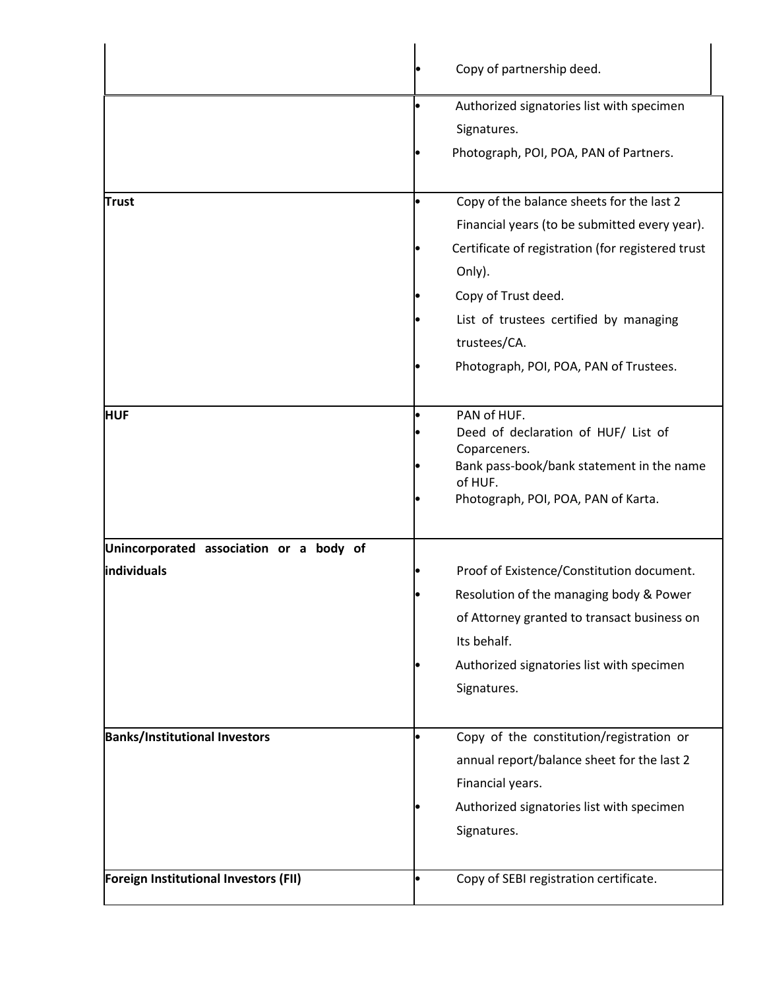|                                                        | Copy of partnership deed.                                                                                                                                                                                                                                                            |  |  |
|--------------------------------------------------------|--------------------------------------------------------------------------------------------------------------------------------------------------------------------------------------------------------------------------------------------------------------------------------------|--|--|
|                                                        | Authorized signatories list with specimen<br>Signatures.<br>Photograph, POI, POA, PAN of Partners.                                                                                                                                                                                   |  |  |
| <b>Trust</b>                                           | Copy of the balance sheets for the last 2<br>Financial years (to be submitted every year).<br>Certificate of registration (for registered trust<br>Only).<br>Copy of Trust deed.<br>List of trustees certified by managing<br>trustees/CA.<br>Photograph, POI, POA, PAN of Trustees. |  |  |
| <b>HUF</b>                                             | PAN of HUF.<br>Deed of declaration of HUF/ List of<br>Coparceners.<br>Bank pass-book/bank statement in the name<br>of HUF.<br>Photograph, POI, POA, PAN of Karta.                                                                                                                    |  |  |
| Unincorporated association or a body of<br>individuals | Proof of Existence/Constitution document.<br>Resolution of the managing body & Power<br>of Attorney granted to transact business on<br>Its behalf.<br>Authorized signatories list with specimen<br>Signatures.                                                                       |  |  |
| <b>Banks/Institutional Investors</b>                   | Copy of the constitution/registration or<br>annual report/balance sheet for the last 2<br>Financial years.<br>Authorized signatories list with specimen<br>Signatures.                                                                                                               |  |  |
| Foreign Institutional Investors (FII)                  | Copy of SEBI registration certificate.                                                                                                                                                                                                                                               |  |  |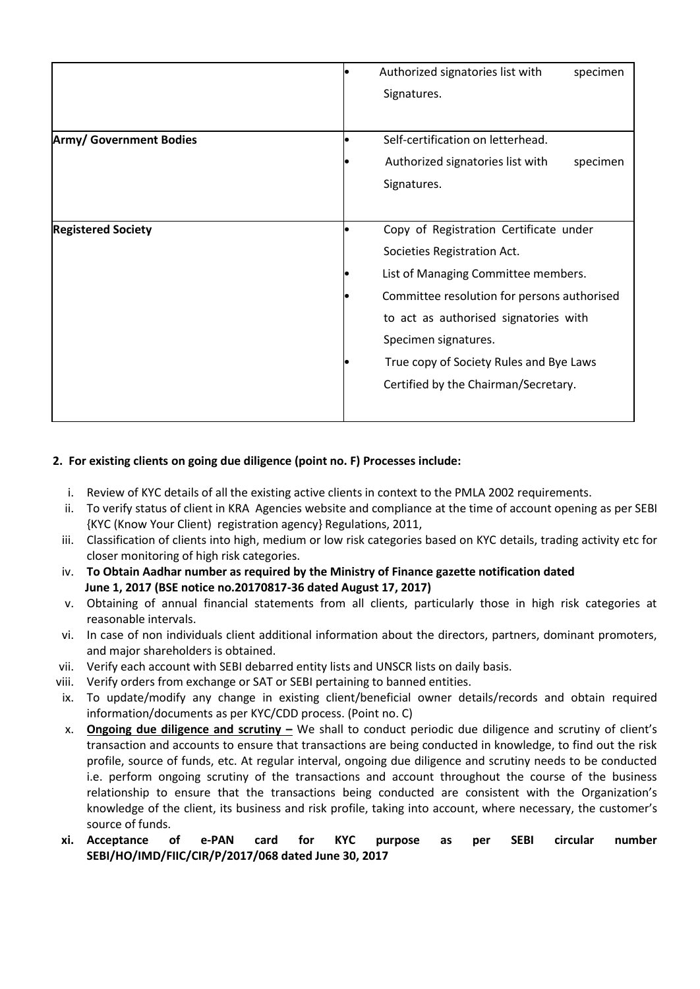|                                |  | Authorized signatories list with                                                                                                                        | specimen |  |
|--------------------------------|--|---------------------------------------------------------------------------------------------------------------------------------------------------------|----------|--|
|                                |  | Signatures.                                                                                                                                             |          |  |
|                                |  |                                                                                                                                                         |          |  |
| <b>Army/ Government Bodies</b> |  | Self-certification on letterhead.                                                                                                                       |          |  |
|                                |  | Authorized signatories list with                                                                                                                        | specimen |  |
|                                |  | Signatures.                                                                                                                                             |          |  |
|                                |  |                                                                                                                                                         |          |  |
| <b>Registered Society</b>      |  | Copy of Registration Certificate under                                                                                                                  |          |  |
|                                |  | Societies Registration Act.                                                                                                                             |          |  |
|                                |  | List of Managing Committee members.                                                                                                                     |          |  |
|                                |  | Committee resolution for persons authorised<br>to act as authorised signatories with<br>Specimen signatures.<br>True copy of Society Rules and Bye Laws |          |  |
|                                |  |                                                                                                                                                         |          |  |
|                                |  |                                                                                                                                                         |          |  |
|                                |  |                                                                                                                                                         |          |  |
|                                |  | Certified by the Chairman/Secretary.                                                                                                                    |          |  |
|                                |  |                                                                                                                                                         |          |  |
|                                |  |                                                                                                                                                         |          |  |

# **2. For existing clients on going due diligence (point no. F) Processes include:**

- i. Review of KYC details of all the existing active clients in context to the PMLA 2002 requirements.
- ii. To verify status of client in KRA Agencies website and compliance at the time of account opening as per SEBI {KYC (Know Your Client) registration agency} Regulations, 2011,
- iii. Classification of clients into high, medium or low risk categories based on KYC details, trading activity etc for closer monitoring of high risk categories.
- iv. **To Obtain Aadhar number as required by the Ministry of Finance gazette notification dated June 1, 2017 (BSE notice no.20170817-36 dated August 17, 2017)**
- v. Obtaining of annual financial statements from all clients, particularly those in high risk categories at reasonable intervals.
- vi. In case of non individuals client additional information about the directors, partners, dominant promoters, and major shareholders is obtained.
- vii. Verify each account with SEBI debarred entity lists and UNSCR lists on daily basis.
- viii. Verify orders from exchange or SAT or SEBI pertaining to banned entities.
- ix. To update/modify any change in existing client/beneficial owner details/records and obtain required information/documents as per KYC/CDD process. (Point no. C)
- x. **Ongoing due diligence and scrutiny –** We shall to conduct periodic due diligence and scrutiny of client's transaction and accounts to ensure that transactions are being conducted in knowledge, to find out the risk profile, source of funds, etc. At regular interval, ongoing due diligence and scrutiny needs to be conducted i.e. perform ongoing scrutiny of the transactions and account throughout the course of the business relationship to ensure that the transactions being conducted are consistent with the Organization's knowledge of the client, its business and risk profile, taking into account, where necessary, the customer's source of funds.
- **xi. Acceptance of e-PAN card for KYC purpose as per SEBI circular number SEBI/HO/IMD/FIIC/CIR/P/2017/068 dated June 30, 2017**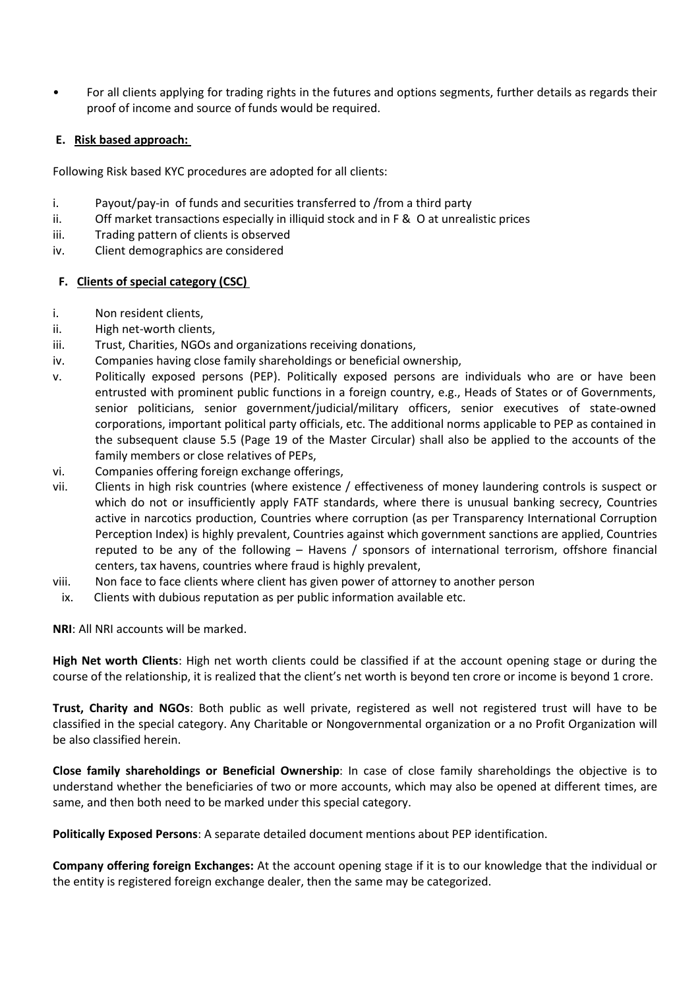• For all clients applying for trading rights in the futures and options segments, further details as regards their proof of income and source of funds would be required.

### **E. Risk based approach:**

Following Risk based KYC procedures are adopted for all clients:

- i. Payout/pay-in of funds and securities transferred to /from a third party
- ii. Off market transactions especially in illiquid stock and in F & O at unrealistic prices
- iii. Trading pattern of clients is observed
- iv. Client demographics are considered

# **F. Clients of special category (CSC)**

- i. Non resident clients,
- ii. High net-worth clients,
- iii. Trust, Charities, NGOs and organizations receiving donations,
- iv. Companies having close family shareholdings or beneficial ownership,
- v. Politically exposed persons (PEP). Politically exposed persons are individuals who are or have been entrusted with prominent public functions in a foreign country, e.g., Heads of States or of Governments, senior politicians, senior government/judicial/military officers, senior executives of state-owned corporations, important political party officials, etc. The additional norms applicable to PEP as contained in the subsequent clause 5.5 (Page 19 of the Master Circular) shall also be applied to the accounts of the family members or close relatives of PEPs,
- vi. Companies offering foreign exchange offerings,
- vii. Clients in high risk countries (where existence / effectiveness of money laundering controls is suspect or which do not or insufficiently apply FATF standards, where there is unusual banking secrecy, Countries active in narcotics production, Countries where corruption (as per Transparency International Corruption Perception Index) is highly prevalent, Countries against which government sanctions are applied, Countries reputed to be any of the following – Havens / sponsors of international terrorism, offshore financial centers, tax havens, countries where fraud is highly prevalent,
- viii. Non face to face clients where client has given power of attorney to another person
- ix. Clients with dubious reputation as per public information available etc.

**NRI**: All NRI accounts will be marked.

**High Net worth Clients**: High net worth clients could be classified if at the account opening stage or during the course of the relationship, it is realized that the client's net worth is beyond ten crore or income is beyond 1 crore.

**Trust, Charity and NGOs**: Both public as well private, registered as well not registered trust will have to be classified in the special category. Any Charitable or Nongovernmental organization or a no Profit Organization will be also classified herein.

**Close family shareholdings or Beneficial Ownership**: In case of close family shareholdings the objective is to understand whether the beneficiaries of two or more accounts, which may also be opened at different times, are same, and then both need to be marked under this special category.

**Politically Exposed Persons**: A separate detailed document mentions about PEP identification.

**Company offering foreign Exchanges:** At the account opening stage if it is to our knowledge that the individual or the entity is registered foreign exchange dealer, then the same may be categorized.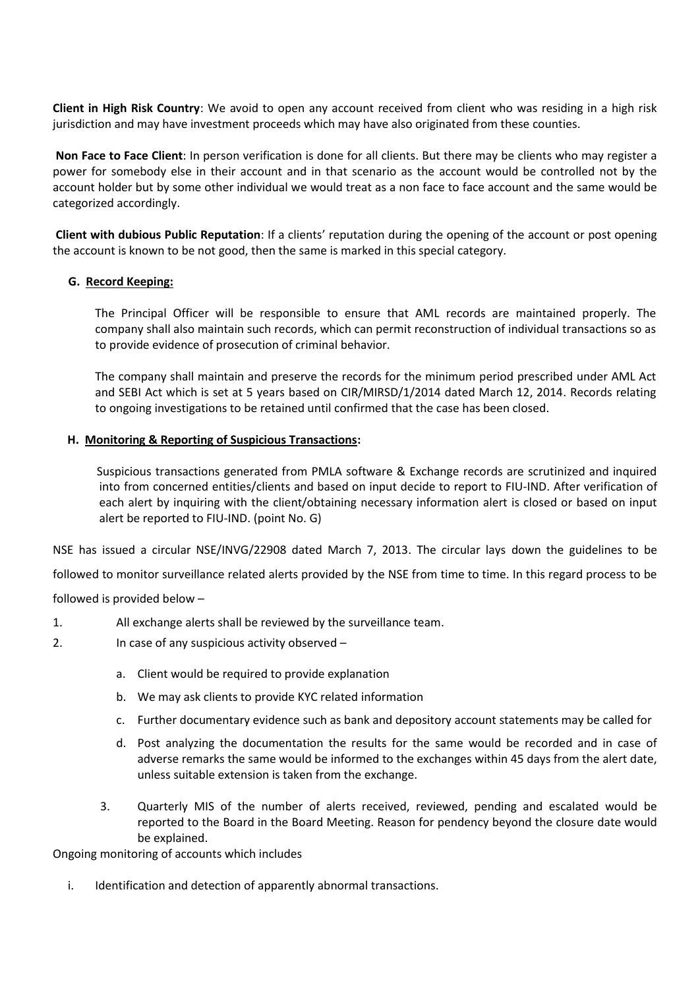**Client in High Risk Country**: We avoid to open any account received from client who was residing in a high risk jurisdiction and may have investment proceeds which may have also originated from these counties.

**Non Face to Face Client**: In person verification is done for all clients. But there may be clients who may register a power for somebody else in their account and in that scenario as the account would be controlled not by the account holder but by some other individual we would treat as a non face to face account and the same would be categorized accordingly.

**Client with dubious Public Reputation**: If a clients' reputation during the opening of the account or post opening the account is known to be not good, then the same is marked in this special category.

# **G. Record Keeping:**

The Principal Officer will be responsible to ensure that AML records are maintained properly. The company shall also maintain such records, which can permit reconstruction of individual transactions so as to provide evidence of prosecution of criminal behavior.

The company shall maintain and preserve the records for the minimum period prescribed under AML Act and SEBI Act which is set at 5 years based on CIR/MIRSD/1/2014 dated March 12, 2014. Records relating to ongoing investigations to be retained until confirmed that the case has been closed.

#### **H. Monitoring & Reporting of Suspicious Transactions:**

 Suspicious transactions generated from PMLA software & Exchange records are scrutinized and inquired into from concerned entities/clients and based on input decide to report to FIU-IND. After verification of each alert by inquiring with the client/obtaining necessary information alert is closed or based on input alert be reported to FIU-IND. (point No. G)

NSE has issued a circular NSE/INVG/22908 dated March 7, 2013. The circular lays down the guidelines to be

followed to monitor surveillance related alerts provided by the NSE from time to time. In this regard process to be

followed is provided below –

- 1. All exchange alerts shall be reviewed by the surveillance team.
- 2. In case of any suspicious activity observed
	- a. Client would be required to provide explanation
	- b. We may ask clients to provide KYC related information
	- c. Further documentary evidence such as bank and depository account statements may be called for
	- d. Post analyzing the documentation the results for the same would be recorded and in case of adverse remarks the same would be informed to the exchanges within 45 days from the alert date, unless suitable extension is taken from the exchange.
	- 3. Quarterly MIS of the number of alerts received, reviewed, pending and escalated would be reported to the Board in the Board Meeting. Reason for pendency beyond the closure date would be explained.

Ongoing monitoring of accounts which includes

i. Identification and detection of apparently abnormal transactions.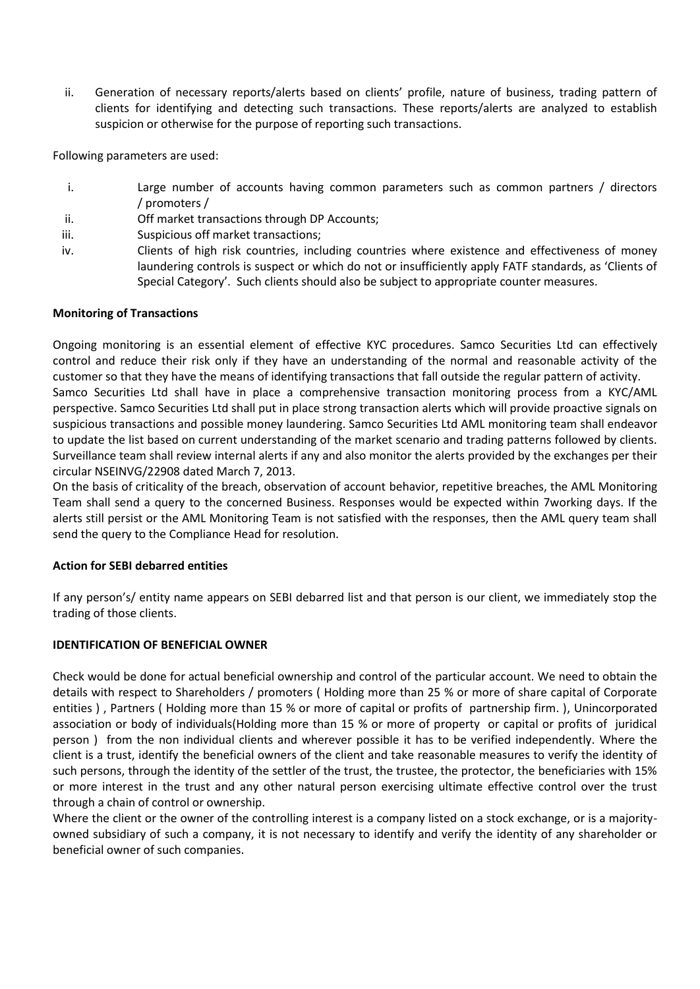ii. Generation of necessary reports/alerts based on clients' profile, nature of business, trading pattern of clients for identifying and detecting such transactions. These reports/alerts are analyzed to establish suspicion or otherwise for the purpose of reporting such transactions.

Following parameters are used:

- i. Large number of accounts having common parameters such as common partners / directors / promoters /
- ii. Off market transactions through DP Accounts;
- iii. Suspicious off market transactions;
- iv. Clients of high risk countries, including countries where existence and effectiveness of money laundering controls is suspect or which do not or insufficiently apply FATF standards, as 'Clients of Special Category'. Such clients should also be subject to appropriate counter measures.

# **Monitoring of Transactions**

Ongoing monitoring is an essential element of effective KYC procedures. Samco Securities Ltd can effectively control and reduce their risk only if they have an understanding of the normal and reasonable activity of the customer so that they have the means of identifying transactions that fall outside the regular pattern of activity. Samco Securities Ltd shall have in place a comprehensive transaction monitoring process from a KYC/AML perspective. Samco Securities Ltd shall put in place strong transaction alerts which will provide proactive signals on suspicious transactions and possible money laundering. Samco Securities Ltd AML monitoring team shall endeavor to update the list based on current understanding of the market scenario and trading patterns followed by clients. Surveillance team shall review internal alerts if any and also monitor the alerts provided by the exchanges per their circular NSEINVG/22908 dated March 7, 2013.

On the basis of criticality of the breach, observation of account behavior, repetitive breaches, the AML Monitoring Team shall send a query to the concerned Business. Responses would be expected within 7working days. If the alerts still persist or the AML Monitoring Team is not satisfied with the responses, then the AML query team shall send the query to the Compliance Head for resolution.

# **Action for SEBI debarred entities**

If any person's/ entity name appears on SEBI debarred list and that person is our client, we immediately stop the trading of those clients.

#### **IDENTIFICATION OF BENEFICIAL OWNER**

Check would be done for actual beneficial ownership and control of the particular account. We need to obtain the details with respect to Shareholders / promoters ( Holding more than 25 % or more of share capital of Corporate entities ) , Partners ( Holding more than 15 % or more of capital or profits of partnership firm. ), Unincorporated association or body of individuals(Holding more than 15 % or more of property or capital or profits of juridical person ) from the non individual clients and wherever possible it has to be verified independently. Where the client is a trust, identify the beneficial owners of the client and take reasonable measures to verify the identity of such persons, through the identity of the settler of the trust, the trustee, the protector, the beneficiaries with 15% or more interest in the trust and any other natural person exercising ultimate effective control over the trust through a chain of control or ownership.

Where the client or the owner of the controlling interest is a company listed on a stock exchange, or is a majorityowned subsidiary of such a company, it is not necessary to identify and verify the identity of any shareholder or beneficial owner of such companies.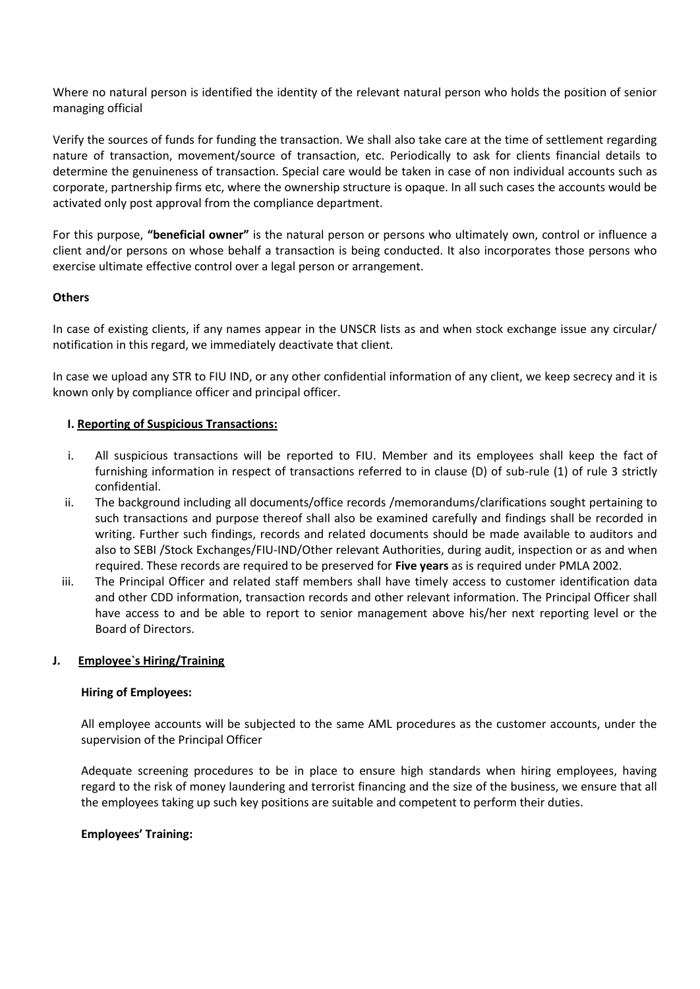Where no natural person is identified the identity of the relevant natural person who holds the position of senior managing official

Verify the sources of funds for funding the transaction. We shall also take care at the time of settlement regarding nature of transaction, movement/source of transaction, etc. Periodically to ask for clients financial details to determine the genuineness of transaction. Special care would be taken in case of non individual accounts such as corporate, partnership firms etc, where the ownership structure is opaque. In all such cases the accounts would be activated only post approval from the compliance department.

For this purpose, **"beneficial owner"** is the natural person or persons who ultimately own, control or influence a client and/or persons on whose behalf a transaction is being conducted. It also incorporates those persons who exercise ultimate effective control over a legal person or arrangement.

# **Others**

In case of existing clients, if any names appear in the UNSCR lists as and when stock exchange issue any circular/ notification in this regard, we immediately deactivate that client.

In case we upload any STR to FIU IND, or any other confidential information of any client, we keep secrecy and it is known only by compliance officer and principal officer.

#### **I. Reporting of Suspicious Transactions:**

- i. All suspicious transactions will be reported to FIU. Member and its employees shall keep the fact of furnishing information in respect of transactions referred to in clause (D) of sub-rule (1) of rule 3 strictly confidential.
- ii. The background including all documents/office records /memorandums/clarifications sought pertaining to such transactions and purpose thereof shall also be examined carefully and findings shall be recorded in writing. Further such findings, records and related documents should be made available to auditors and also to SEBI /Stock Exchanges/FIU-IND/Other relevant Authorities, during audit, inspection or as and when required. These records are required to be preserved for **Five years** as is required under PMLA 2002.
- iii. The Principal Officer and related staff members shall have timely access to customer identification data and other CDD information, transaction records and other relevant information. The Principal Officer shall have access to and be able to report to senior management above his/her next reporting level or the Board of Directors.

#### **J. Employee`s Hiring/Training**

#### **Hiring of Employees:**

All employee accounts will be subjected to the same AML procedures as the customer accounts, under the supervision of the Principal Officer

Adequate screening procedures to be in place to ensure high standards when hiring employees, having regard to the risk of money laundering and terrorist financing and the size of the business, we ensure that all the employees taking up such key positions are suitable and competent to perform their duties.

#### **Employees' Training:**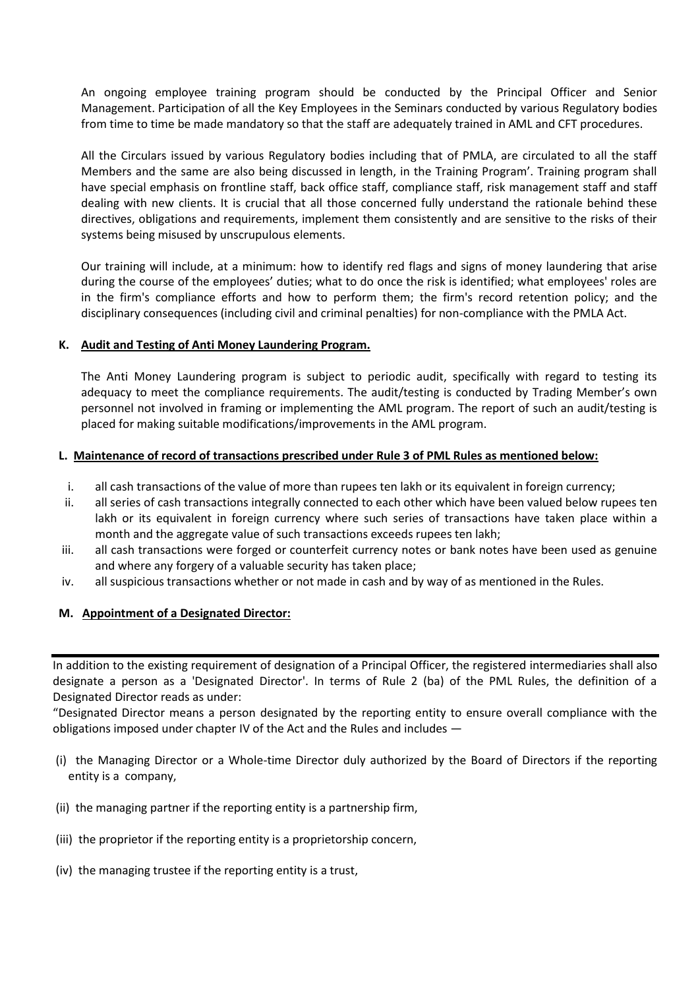An ongoing employee training program should be conducted by the Principal Officer and Senior Management. Participation of all the Key Employees in the Seminars conducted by various Regulatory bodies from time to time be made mandatory so that the staff are adequately trained in AML and CFT procedures.

All the Circulars issued by various Regulatory bodies including that of PMLA, are circulated to all the staff Members and the same are also being discussed in length, in the Training Program'. Training program shall have special emphasis on frontline staff, back office staff, compliance staff, risk management staff and staff dealing with new clients. It is crucial that all those concerned fully understand the rationale behind these directives, obligations and requirements, implement them consistently and are sensitive to the risks of their systems being misused by unscrupulous elements.

Our training will include, at a minimum: how to identify red flags and signs of money laundering that arise during the course of the employees' duties; what to do once the risk is identified; what employees' roles are in the firm's compliance efforts and how to perform them; the firm's record retention policy; and the disciplinary consequences (including civil and criminal penalties) for non-compliance with the PMLA Act.

# **K. Audit and Testing of Anti Money Laundering Program.**

The Anti Money Laundering program is subject to periodic audit, specifically with regard to testing its adequacy to meet the compliance requirements. The audit/testing is conducted by Trading Member's own personnel not involved in framing or implementing the AML program. The report of such an audit/testing is placed for making suitable modifications/improvements in the AML program.

#### **L. Maintenance of record of transactions prescribed under Rule 3 of PML Rules as mentioned below:**

- i. all cash transactions of the value of more than rupees ten lakh or its equivalent in foreign currency;
- ii. all series of cash transactions integrally connected to each other which have been valued below rupees ten lakh or its equivalent in foreign currency where such series of transactions have taken place within a month and the aggregate value of such transactions exceeds rupees ten lakh;
- iii. all cash transactions were forged or counterfeit currency notes or bank notes have been used as genuine and where any forgery of a valuable security has taken place;
- iv. all suspicious transactions whether or not made in cash and by way of as mentioned in the Rules.

#### **M. Appointment of a Designated Director:**

In addition to the existing requirement of designation of a Principal Officer, the registered intermediaries shall also designate a person as a 'Designated Director'. In terms of Rule 2 (ba) of the PML Rules, the definition of a Designated Director reads as under:

"Designated Director means a person designated by the reporting entity to ensure overall compliance with the obligations imposed under chapter IV of the Act and the Rules and includes —

- (i) the Managing Director or a Whole-time Director duly authorized by the Board of Directors if the reporting entity is a company,
- (ii) the managing partner if the reporting entity is a partnership firm,
- (iii) the proprietor if the reporting entity is a proprietorship concern,
- (iv) the managing trustee if the reporting entity is a trust,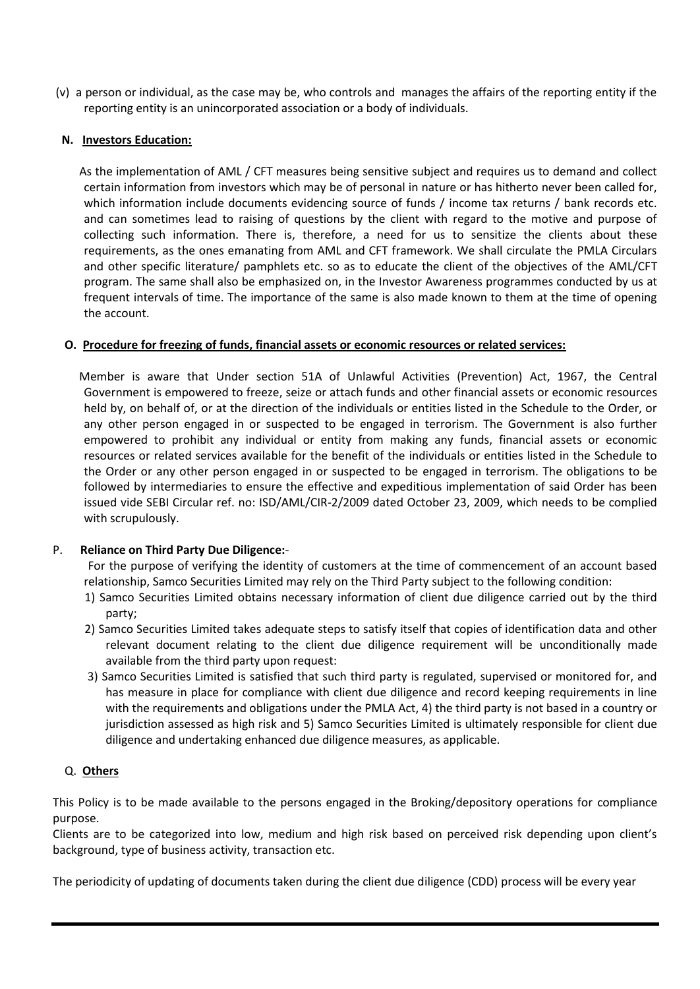(v) a person or individual, as the case may be, who controls and manages the affairs of the reporting entity if the reporting entity is an unincorporated association or a body of individuals.

### **N. Investors Education:**

 As the implementation of AML / CFT measures being sensitive subject and requires us to demand and collect certain information from investors which may be of personal in nature or has hitherto never been called for, which information include documents evidencing source of funds / income tax returns / bank records etc. and can sometimes lead to raising of questions by the client with regard to the motive and purpose of collecting such information. There is, therefore, a need for us to sensitize the clients about these requirements, as the ones emanating from AML and CFT framework. We shall circulate the PMLA Circulars and other specific literature/ pamphlets etc. so as to educate the client of the objectives of the AML/CFT program. The same shall also be emphasized on, in the Investor Awareness programmes conducted by us at frequent intervals of time. The importance of the same is also made known to them at the time of opening the account.

# **O. Procedure for freezing of funds, financial assets or economic resources or related services:**

 Member is aware that Under section 51A of Unlawful Activities (Prevention) Act, 1967, the Central Government is empowered to freeze, seize or attach funds and other financial assets or economic resources held by, on behalf of, or at the direction of the individuals or entities listed in the Schedule to the Order, or any other person engaged in or suspected to be engaged in terrorism. The Government is also further empowered to prohibit any individual or entity from making any funds, financial assets or economic resources or related services available for the benefit of the individuals or entities listed in the Schedule to the Order or any other person engaged in or suspected to be engaged in terrorism. The obligations to be followed by intermediaries to ensure the effective and expeditious implementation of said Order has been issued vide SEBI Circular ref. no: ISD/AML/CIR-2/2009 dated October 23, 2009, which needs to be complied with scrupulously.

# P. **Reliance on Third Party Due Diligence:**-

 For the purpose of verifying the identity of customers at the time of commencement of an account based relationship, Samco Securities Limited may rely on the Third Party subject to the following condition:

- 1) Samco Securities Limited obtains necessary information of client due diligence carried out by the third party;
- 2) Samco Securities Limited takes adequate steps to satisfy itself that copies of identification data and other relevant document relating to the client due diligence requirement will be unconditionally made available from the third party upon request:
- 3) Samco Securities Limited is satisfied that such third party is regulated, supervised or monitored for, and has measure in place for compliance with client due diligence and record keeping requirements in line with the requirements and obligations under the PMLA Act, 4) the third party is not based in a country or jurisdiction assessed as high risk and 5) Samco Securities Limited is ultimately responsible for client due diligence and undertaking enhanced due diligence measures, as applicable.

# Q. **Others**

This Policy is to be made available to the persons engaged in the Broking/depository operations for compliance purpose.

Clients are to be categorized into low, medium and high risk based on perceived risk depending upon client's background, type of business activity, transaction etc.

The periodicity of updating of documents taken during the client due diligence (CDD) process will be every year